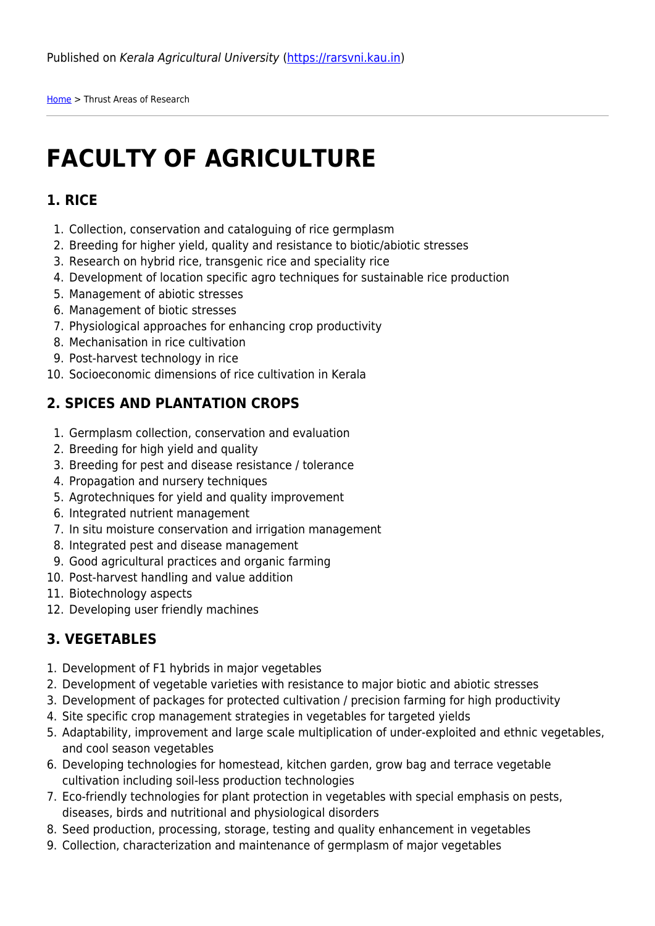[Home](https://rarsvni.kau.in/) > Thrust Areas of Research

# **FACULTY OF AGRICULTURE**

## **1. RICE**

- 1. Collection, conservation and cataloguing of rice germplasm
- 2. Breeding for higher yield, quality and resistance to biotic/abiotic stresses
- 3. Research on hybrid rice, transgenic rice and speciality rice
- 4. Development of location specific agro techniques for sustainable rice production
- 5. Management of abiotic stresses
- 6. Management of biotic stresses
- 7. Physiological approaches for enhancing crop productivity
- 8. Mechanisation in rice cultivation
- 9. Post-harvest technology in rice
- 10. Socioeconomic dimensions of rice cultivation in Kerala

# **2. SPICES AND PLANTATION CROPS**

- 1. Germplasm collection, conservation and evaluation
- 2. Breeding for high yield and quality
- 3. Breeding for pest and disease resistance / tolerance
- 4. Propagation and nursery techniques
- 5. Agrotechniques for yield and quality improvement
- 6. Integrated nutrient management
- 7. In situ moisture conservation and irrigation management
- 8. Integrated pest and disease management
- 9. Good agricultural practices and organic farming
- 10. Post-harvest handling and value addition
- 11. Biotechnology aspects
- 12. Developing user friendly machines

# **3. VEGETABLES**

- 1. Development of F1 hybrids in major vegetables
- 2. Development of vegetable varieties with resistance to major biotic and abiotic stresses
- 3. Development of packages for protected cultivation / precision farming for high productivity
- 4. Site specific crop management strategies in vegetables for targeted yields
- 5. Adaptability, improvement and large scale multiplication of under-exploited and ethnic vegetables, and cool season vegetables
- 6. Developing technologies for homestead, kitchen garden, grow bag and terrace vegetable cultivation including soil-less production technologies
- 7. Eco-friendly technologies for plant protection in vegetables with special emphasis on pests, diseases, birds and nutritional and physiological disorders
- 8. Seed production, processing, storage, testing and quality enhancement in vegetables
- 9. Collection, characterization and maintenance of germplasm of major vegetables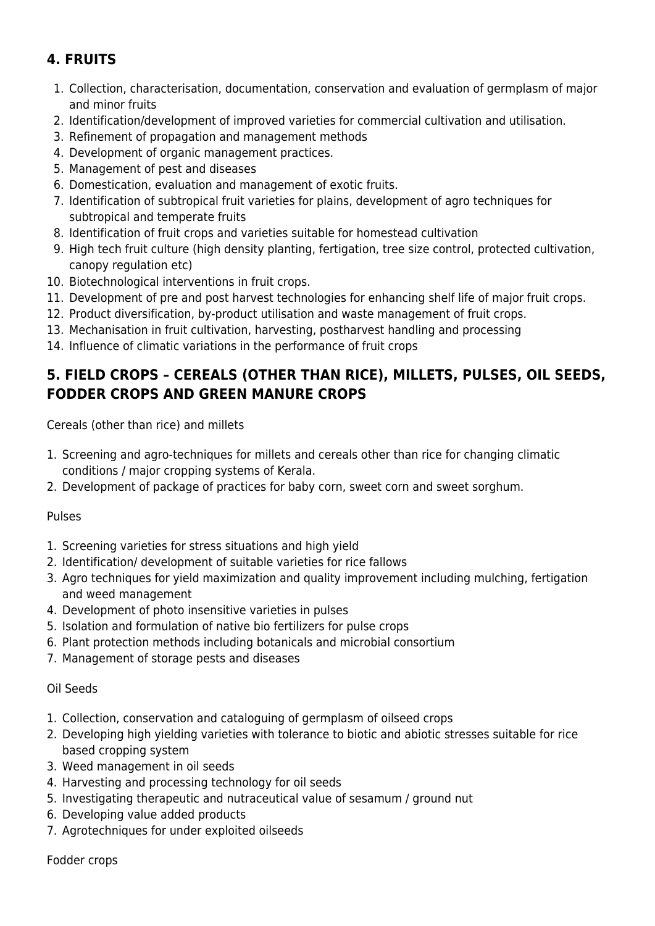# **4. FRUITS**

- 1. Collection, characterisation, documentation, conservation and evaluation of germplasm of major and minor fruits
- 2. Identification/development of improved varieties for commercial cultivation and utilisation.
- 3. Refinement of propagation and management methods
- 4. Development of organic management practices.
- 5. Management of pest and diseases
- 6. Domestication, evaluation and management of exotic fruits.
- 7. Identification of subtropical fruit varieties for plains, development of agro techniques for subtropical and temperate fruits
- 8. Identification of fruit crops and varieties suitable for homestead cultivation
- 9. High tech fruit culture (high density planting, fertigation, tree size control, protected cultivation, canopy regulation etc)
- 10. Biotechnological interventions in fruit crops.
- 11. Development of pre and post harvest technologies for enhancing shelf life of major fruit crops.
- 12. Product diversification, by-product utilisation and waste management of fruit crops.
- 13. Mechanisation in fruit cultivation, harvesting, postharvest handling and processing
- 14. Influence of climatic variations in the performance of fruit crops

## **5. FIELD CROPS – CEREALS (OTHER THAN RICE), MILLETS, PULSES, OIL SEEDS, FODDER CROPS AND GREEN MANURE CROPS**

Cereals (other than rice) and millets

- 1. Screening and agro-techniques for millets and cereals other than rice for changing climatic conditions / major cropping systems of Kerala.
- 2. Development of package of practices for baby corn, sweet corn and sweet sorghum.

#### Pulses

- 1. Screening varieties for stress situations and high yield
- 2. Identification/ development of suitable varieties for rice fallows
- 3. Agro techniques for yield maximization and quality improvement including mulching, fertigation and weed management
- 4. Development of photo insensitive varieties in pulses
- 5. Isolation and formulation of native bio fertilizers for pulse crops
- 6. Plant protection methods including botanicals and microbial consortium
- 7. Management of storage pests and diseases

#### Oil Seeds

- 1. Collection, conservation and cataloguing of germplasm of oilseed crops
- 2. Developing high yielding varieties with tolerance to biotic and abiotic stresses suitable for rice based cropping system
- 3. Weed management in oil seeds
- 4. Harvesting and processing technology for oil seeds
- 5. Investigating therapeutic and nutraceutical value of sesamum / ground nut
- 6. Developing value added products
- 7. Agrotechniques for under exploited oilseeds

Fodder crops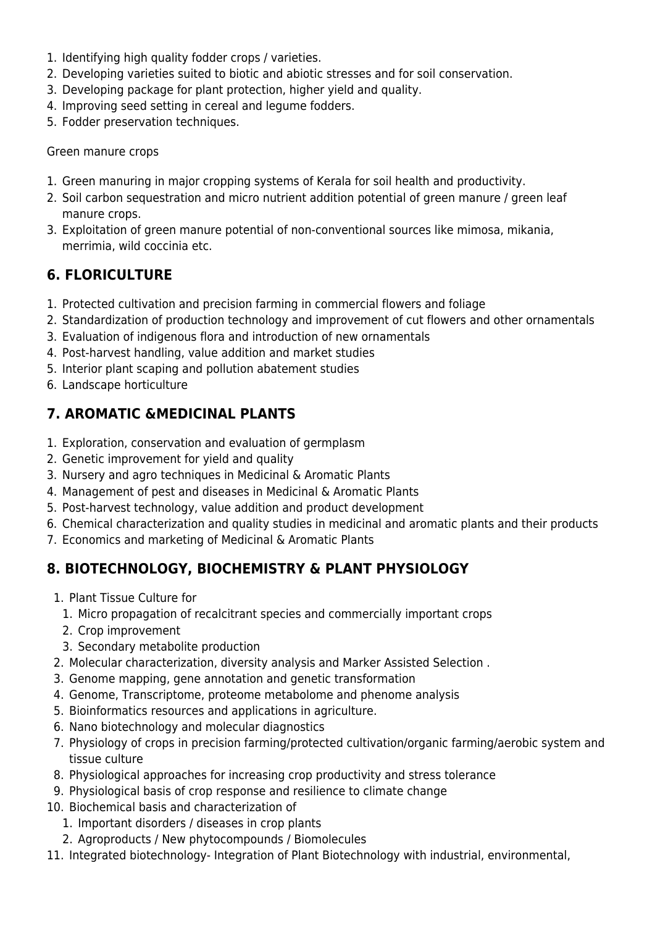- 1. Identifying high quality fodder crops / varieties.
- 2. Developing varieties suited to biotic and abiotic stresses and for soil conservation.
- 3. Developing package for plant protection, higher yield and quality.
- 4. Improving seed setting in cereal and legume fodders.
- 5. Fodder preservation techniques.

Green manure crops

- 1. Green manuring in major cropping systems of Kerala for soil health and productivity.
- 2. Soil carbon sequestration and micro nutrient addition potential of green manure / green leaf manure crops.
- 3. Exploitation of green manure potential of non-conventional sources like mimosa, mikania, merrimia, wild coccinia etc.

## **6. FLORICULTURE**

- 1. Protected cultivation and precision farming in commercial flowers and foliage
- 2. Standardization of production technology and improvement of cut flowers and other ornamentals
- 3. Evaluation of indigenous flora and introduction of new ornamentals
- 4. Post-harvest handling, value addition and market studies
- 5. Interior plant scaping and pollution abatement studies
- 6. Landscape horticulture

## **7. AROMATIC &MEDICINAL PLANTS**

- 1. Exploration, conservation and evaluation of germplasm
- 2. Genetic improvement for yield and quality
- 3. Nursery and agro techniques in Medicinal & Aromatic Plants
- 4. Management of pest and diseases in Medicinal & Aromatic Plants
- 5. Post-harvest technology, value addition and product development
- 6. Chemical characterization and quality studies in medicinal and aromatic plants and their products
- 7. Economics and marketing of Medicinal & Aromatic Plants

# **8. BIOTECHNOLOGY, BIOCHEMISTRY & PLANT PHYSIOLOGY**

- 1. Plant Tissue Culture for
- 1. Micro propagation of recalcitrant species and commercially important crops
- 2. Crop improvement
- 3. Secondary metabolite production
- 2. Molecular characterization, diversity analysis and Marker Assisted Selection .
- 3. Genome mapping, gene annotation and genetic transformation
- 4. Genome, Transcriptome, proteome metabolome and phenome analysis
- 5. Bioinformatics resources and applications in agriculture.
- 6. Nano biotechnology and molecular diagnostics
- 7. Physiology of crops in precision farming/protected cultivation/organic farming/aerobic system and tissue culture
- 8. Physiological approaches for increasing crop productivity and stress tolerance
- 9. Physiological basis of crop response and resilience to climate change
- 10. Biochemical basis and characterization of
	- 1. Important disorders / diseases in crop plants
	- 2. Agroproducts / New phytocompounds / Biomolecules
- 11. Integrated biotechnology- Integration of Plant Biotechnology with industrial, environmental,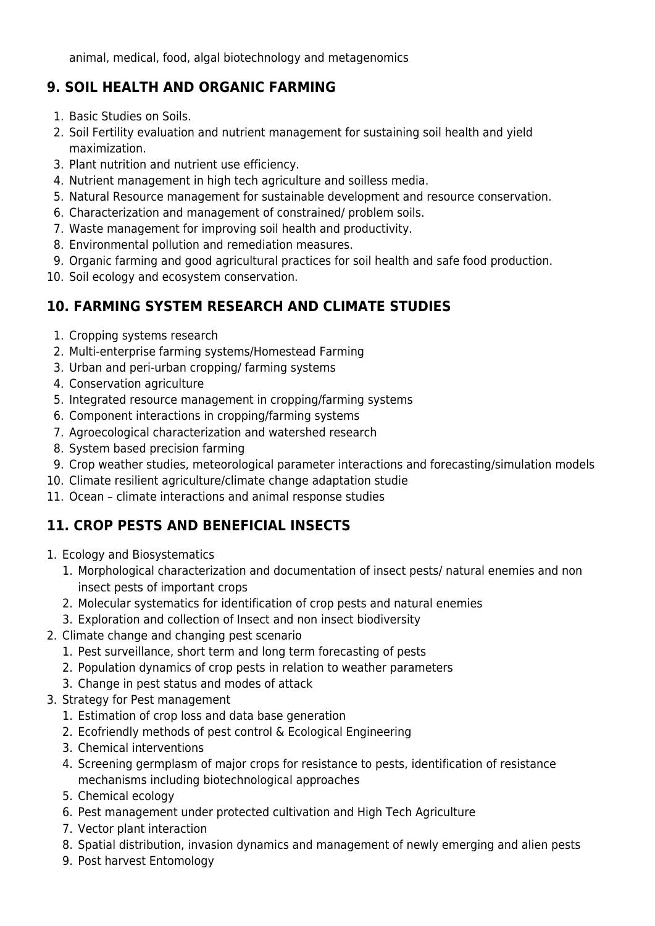animal, medical, food, algal biotechnology and metagenomics

## **9. SOIL HEALTH AND ORGANIC FARMING**

- 1. Basic Studies on Soils.
- 2. Soil Fertility evaluation and nutrient management for sustaining soil health and yield maximization.
- 3. Plant nutrition and nutrient use efficiency.
- 4. Nutrient management in high tech agriculture and soilless media.
- 5. Natural Resource management for sustainable development and resource conservation.
- 6. Characterization and management of constrained/ problem soils.
- 7. Waste management for improving soil health and productivity.
- 8. Environmental pollution and remediation measures.
- 9. Organic farming and good agricultural practices for soil health and safe food production.
- 10. Soil ecology and ecosystem conservation.

## **10. FARMING SYSTEM RESEARCH AND CLIMATE STUDIES**

- 1. Cropping systems research
- 2. Multi-enterprise farming systems/Homestead Farming
- 3. Urban and peri-urban cropping/ farming systems
- 4. Conservation agriculture
- 5. Integrated resource management in cropping/farming systems
- 6. Component interactions in cropping/farming systems
- 7. Agroecological characterization and watershed research
- 8. System based precision farming
- 9. Crop weather studies, meteorological parameter interactions and forecasting/simulation models
- 10. Climate resilient agriculture/climate change adaptation studie
- 11. Ocean climate interactions and animal response studies

# **11. CROP PESTS AND BENEFICIAL INSECTS**

- 1. Ecology and Biosystematics
	- 1. Morphological characterization and documentation of insect pests/ natural enemies and non insect pests of important crops
	- 2. Molecular systematics for identification of crop pests and natural enemies
	- 3. Exploration and collection of Insect and non insect biodiversity
- 2. Climate change and changing pest scenario
	- 1. Pest surveillance, short term and long term forecasting of pests
	- 2. Population dynamics of crop pests in relation to weather parameters
	- 3. Change in pest status and modes of attack
- 3. Strategy for Pest management
	- 1. Estimation of crop loss and data base generation
	- 2. Ecofriendly methods of pest control & Ecological Engineering
	- 3. Chemical interventions
	- 4. Screening germplasm of major crops for resistance to pests, identification of resistance mechanisms including biotechnological approaches
	- 5. Chemical ecology
	- 6. Pest management under protected cultivation and High Tech Agriculture
	- 7. Vector plant interaction
	- 8. Spatial distribution, invasion dynamics and management of newly emerging and alien pests
	- 9. Post harvest Entomology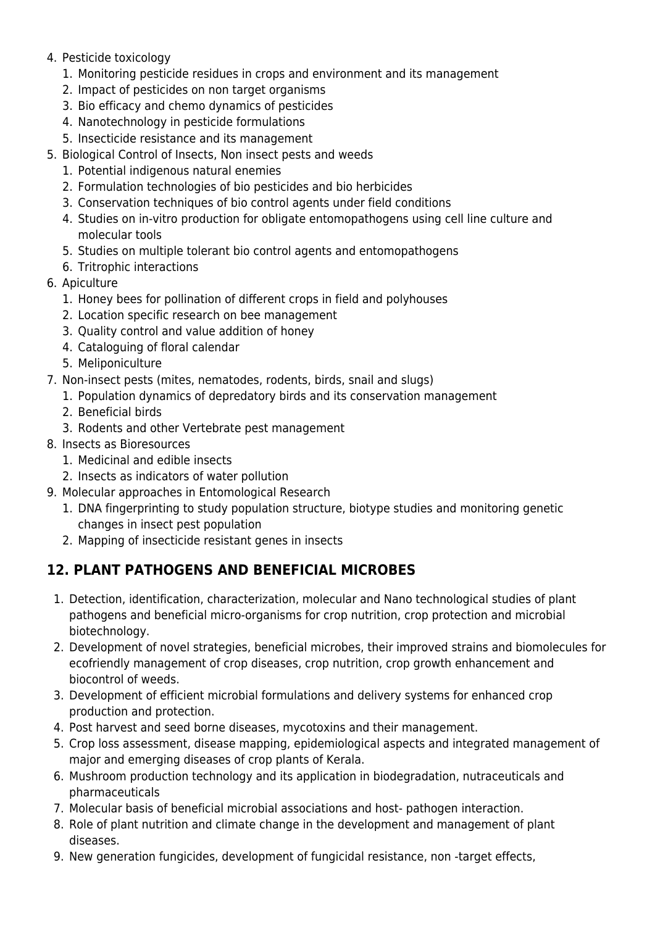#### 4. Pesticide toxicology

- 1. Monitoring pesticide residues in crops and environment and its management
- 2. Impact of pesticides on non target organisms
- 3. Bio efficacy and chemo dynamics of pesticides
- 4. Nanotechnology in pesticide formulations
- 5. Insecticide resistance and its management
- 5. Biological Control of Insects, Non insect pests and weeds
	- 1. Potential indigenous natural enemies
	- 2. Formulation technologies of bio pesticides and bio herbicides
	- 3. Conservation techniques of bio control agents under field conditions
	- 4. Studies on in-vitro production for obligate entomopathogens using cell line culture and molecular tools
	- 5. Studies on multiple tolerant bio control agents and entomopathogens
	- 6. Tritrophic interactions
- 6. Apiculture
	- 1. Honey bees for pollination of different crops in field and polyhouses
	- 2. Location specific research on bee management
	- 3. Quality control and value addition of honey
	- 4. Cataloguing of floral calendar
	- 5. Meliponiculture
- 7. Non-insect pests (mites, nematodes, rodents, birds, snail and slugs)
	- 1. Population dynamics of depredatory birds and its conservation management
	- 2. Beneficial birds
	- 3. Rodents and other Vertebrate pest management
- 8. Insects as Bioresources
	- 1. Medicinal and edible insects
	- 2. Insects as indicators of water pollution
- 9. Molecular approaches in Entomological Research
	- 1. DNA fingerprinting to study population structure, biotype studies and monitoring genetic changes in insect pest population
	- 2. Mapping of insecticide resistant genes in insects

# **12. PLANT PATHOGENS AND BENEFICIAL MICROBES**

- 1. Detection, identification, characterization, molecular and Nano technological studies of plant pathogens and beneficial micro-organisms for crop nutrition, crop protection and microbial biotechnology.
- 2. Development of novel strategies, beneficial microbes, their improved strains and biomolecules for ecofriendly management of crop diseases, crop nutrition, crop growth enhancement and biocontrol of weeds.
- 3. Development of efficient microbial formulations and delivery systems for enhanced crop production and protection.
- 4. Post harvest and seed borne diseases, mycotoxins and their management.
- 5. Crop loss assessment, disease mapping, epidemiological aspects and integrated management of major and emerging diseases of crop plants of Kerala.
- 6. Mushroom production technology and its application in biodegradation, nutraceuticals and pharmaceuticals
- 7. Molecular basis of beneficial microbial associations and host- pathogen interaction.
- 8. Role of plant nutrition and climate change in the development and management of plant diseases.
- 9. New generation fungicides, development of fungicidal resistance, non -target effects,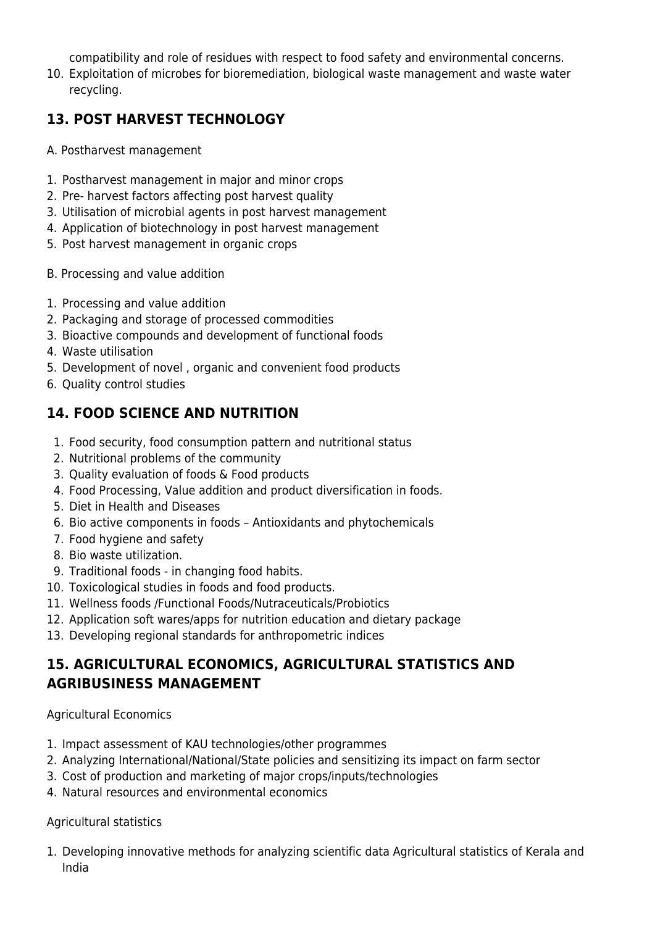compatibility and role of residues with respect to food safety and environmental concerns.

10. Exploitation of microbes for bioremediation, biological waste management and waste water recycling.

# **13. POST HARVEST TECHNOLOGY**

- A. Postharvest management
- 1. Postharvest management in major and minor crops
- 2. Pre- harvest factors affecting post harvest quality
- 3. Utilisation of microbial agents in post harvest management
- 4. Application of biotechnology in post harvest management
- 5. Post harvest management in organic crops
- B. Processing and value addition
- 1. Processing and value addition
- 2. Packaging and storage of processed commodities
- 3. Bioactive compounds and development of functional foods
- 4. Waste utilisation
- 5. Development of novel , organic and convenient food products
- 6. Quality control studies

# **14. FOOD SCIENCE AND NUTRITION**

- 1. Food security, food consumption pattern and nutritional status
- 2. Nutritional problems of the community
- 3. Quality evaluation of foods & Food products
- 4. Food Processing, Value addition and product diversification in foods.
- 5. Diet in Health and Diseases
- 6. Bio active components in foods Antioxidants and phytochemicals
- 7. Food hygiene and safety
- 8. Bio waste utilization.
- 9. Traditional foods in changing food habits.
- 10. Toxicological studies in foods and food products.
- 11. Wellness foods /Functional Foods/Nutraceuticals/Probiotics
- 12. Application soft wares/apps for nutrition education and dietary package
- 13. Developing regional standards for anthropometric indices

# **15. AGRICULTURAL ECONOMICS, AGRICULTURAL STATISTICS AND AGRIBUSINESS MANAGEMENT**

#### Agricultural Economics

- 1. Impact assessment of KAU technologies/other programmes
- 2. Analyzing International/National/State policies and sensitizing its impact on farm sector
- 3. Cost of production and marketing of major crops/inputs/technologies
- 4. Natural resources and environmental economics

### Agricultural statistics

1. Developing innovative methods for analyzing scientific data Agricultural statistics of Kerala and India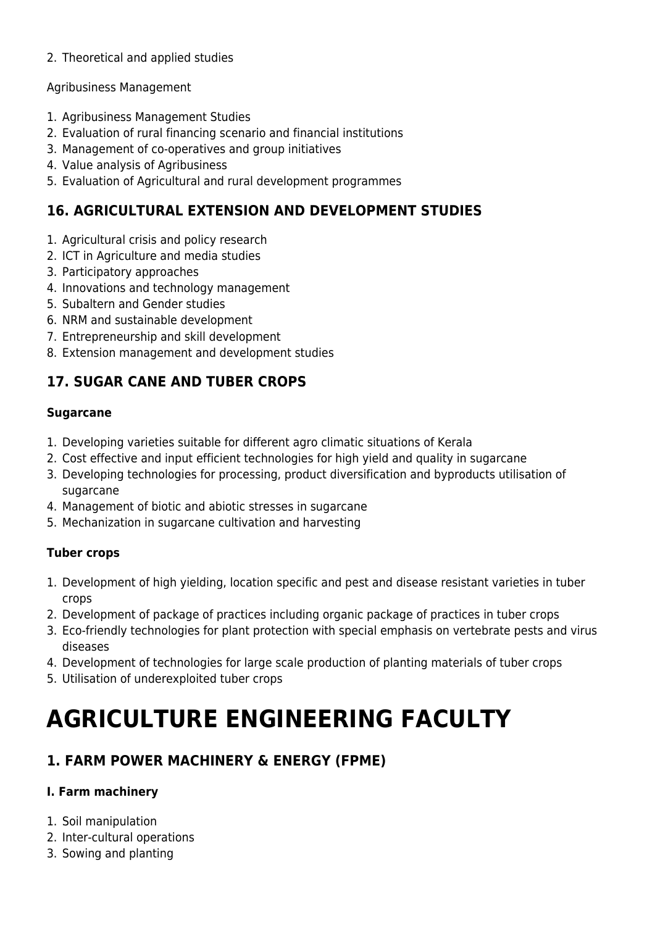#### 2. Theoretical and applied studies

#### Agribusiness Management

- 1. Agribusiness Management Studies
- 2. Evaluation of rural financing scenario and financial institutions
- 3. Management of co-operatives and group initiatives
- 4. Value analysis of Agribusiness
- 5. Evaluation of Agricultural and rural development programmes

## **16. AGRICULTURAL EXTENSION AND DEVELOPMENT STUDIES**

- 1. Agricultural crisis and policy research
- 2. ICT in Agriculture and media studies
- 3. Participatory approaches
- 4. Innovations and technology management
- 5. Subaltern and Gender studies
- 6. NRM and sustainable development
- 7. Entrepreneurship and skill development
- 8. Extension management and development studies

# **17. SUGAR CANE AND TUBER CROPS**

#### **Sugarcane**

- 1. Developing varieties suitable for different agro climatic situations of Kerala
- 2. Cost effective and input efficient technologies for high yield and quality in sugarcane
- 3. Developing technologies for processing, product diversification and byproducts utilisation of sugarcane
- 4. Management of biotic and abiotic stresses in sugarcane
- 5. Mechanization in sugarcane cultivation and harvesting

#### **Tuber crops**

- 1. Development of high yielding, location specific and pest and disease resistant varieties in tuber crops
- 2. Development of package of practices including organic package of practices in tuber crops
- 3. Eco-friendly technologies for plant protection with special emphasis on vertebrate pests and virus diseases
- 4. Development of technologies for large scale production of planting materials of tuber crops
- 5. Utilisation of underexploited tuber crops

# **AGRICULTURE ENGINEERING FACULTY**

## **1. FARM POWER MACHINERY & ENERGY (FPME)**

#### **I. Farm machinery**

- 1. Soil manipulation
- 2. Inter-cultural operations
- 3. Sowing and planting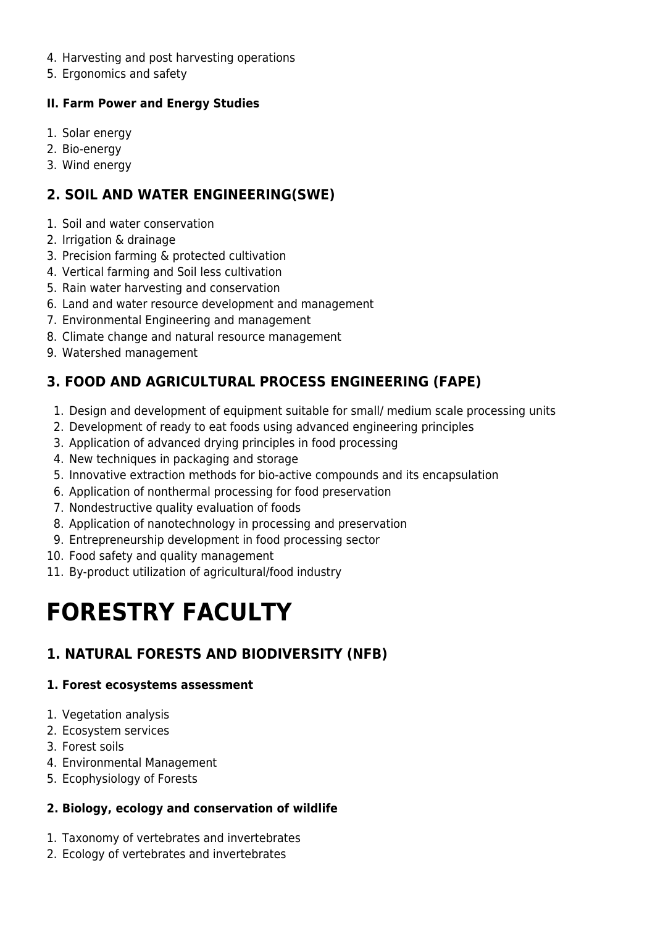- 4. Harvesting and post harvesting operations
- 5. Ergonomics and safety

#### **II. Farm Power and Energy Studies**

- 1. Solar energy
- 2. Bio-energy
- 3. Wind energy

## **2. SOIL AND WATER ENGINEERING(SWE)**

- 1. Soil and water conservation
- 2. Irrigation & drainage
- 3. Precision farming & protected cultivation
- 4. Vertical farming and Soil less cultivation
- 5. Rain water harvesting and conservation
- 6. Land and water resource development and management
- 7. Environmental Engineering and management
- 8. Climate change and natural resource management
- 9. Watershed management

# **3. FOOD AND AGRICULTURAL PROCESS ENGINEERING (FAPE)**

- 1. Design and development of equipment suitable for small/ medium scale processing units
- 2. Development of ready to eat foods using advanced engineering principles
- 3. Application of advanced drying principles in food processing
- 4. New techniques in packaging and storage
- 5. Innovative extraction methods for bio-active compounds and its encapsulation
- 6. Application of nonthermal processing for food preservation
- 7. Nondestructive quality evaluation of foods
- 8. Application of nanotechnology in processing and preservation
- 9. Entrepreneurship development in food processing sector
- 10. Food safety and quality management
- 11. By-product utilization of agricultural/food industry

# **FORESTRY FACULTY**

# **1. NATURAL FORESTS AND BIODIVERSITY (NFB)**

### **1. Forest ecosystems assessment**

- 1. Vegetation analysis
- 2. Ecosystem services
- 3. Forest soils
- 4. Environmental Management
- 5. Ecophysiology of Forests

### **2. Biology, ecology and conservation of wildlife**

- 1. Taxonomy of vertebrates and invertebrates
- 2. Ecology of vertebrates and invertebrates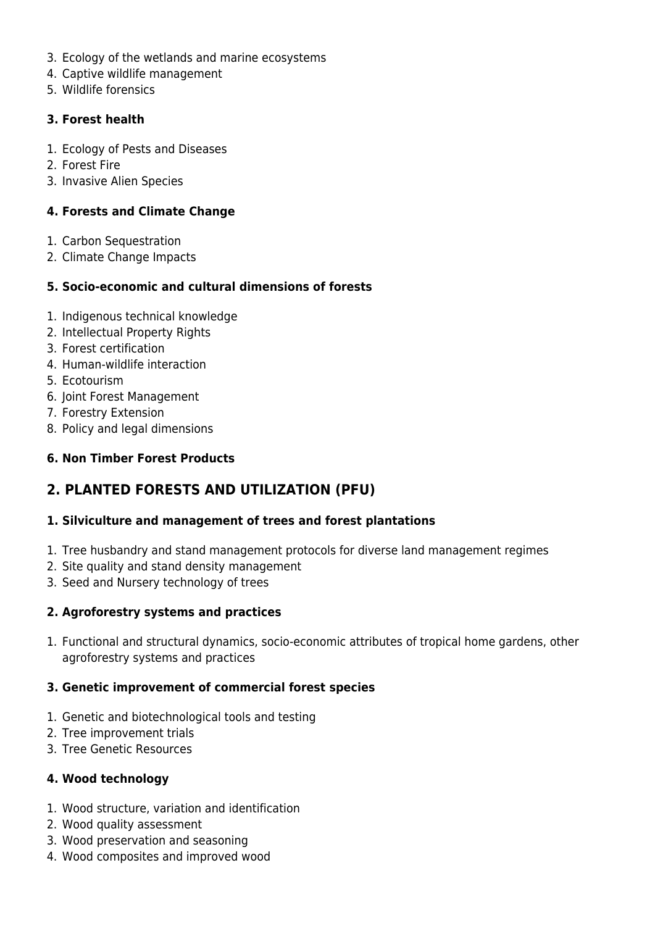- 3. Ecology of the wetlands and marine ecosystems
- 4. Captive wildlife management
- 5. Wildlife forensics

#### **3. Forest health**

- 1. Ecology of Pests and Diseases
- 2. Forest Fire
- 3. Invasive Alien Species

#### **4. Forests and Climate Change**

- 1. Carbon Sequestration
- 2. Climate Change Impacts

#### **5. Socio-economic and cultural dimensions of forests**

- 1. Indigenous technical knowledge
- 2. Intellectual Property Rights
- 3. Forest certification
- 4. Human-wildlife interaction
- 5. Ecotourism
- 6. Joint Forest Management
- 7. Forestry Extension
- 8. Policy and legal dimensions

#### **6. Non Timber Forest Products**

# **2. PLANTED FORESTS AND UTILIZATION (PFU)**

#### **1. Silviculture and management of trees and forest plantations**

- 1. Tree husbandry and stand management protocols for diverse land management regimes
- 2. Site quality and stand density management
- 3. Seed and Nursery technology of trees

#### **2. Agroforestry systems and practices**

1. Functional and structural dynamics, socio-economic attributes of tropical home gardens, other agroforestry systems and practices

#### **3. Genetic improvement of commercial forest species**

- 1. Genetic and biotechnological tools and testing
- 2. Tree improvement trials
- 3. Tree Genetic Resources

#### **4. Wood technology**

- 1. Wood structure, variation and identification
- 2. Wood quality assessment
- 3. Wood preservation and seasoning
- 4. Wood composites and improved wood